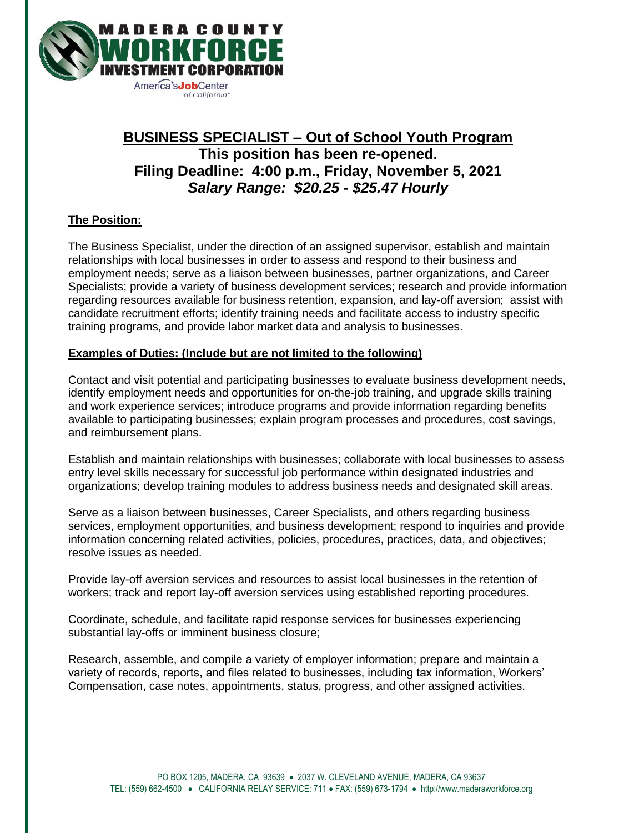

# **BUSINESS SPECIALIST – Out of School Youth Program This position has been re-opened. Filing Deadline: 4:00 p.m., Friday, November 5, 2021** *Salary Range: \$20.25 - \$25.47 Hourly*

### **The Position:**

The Business Specialist, under the direction of an assigned supervisor, establish and maintain relationships with local businesses in order to assess and respond to their business and employment needs; serve as a liaison between businesses, partner organizations, and Career Specialists; provide a variety of business development services; research and provide information regarding resources available for business retention, expansion, and lay-off aversion; assist with candidate recruitment efforts; identify training needs and facilitate access to industry specific training programs, and provide labor market data and analysis to businesses.

#### **Examples of Duties: (Include but are not limited to the following)**

Contact and visit potential and participating businesses to evaluate business development needs, identify employment needs and opportunities for on-the-job training, and upgrade skills training and work experience services; introduce programs and provide information regarding benefits available to participating businesses; explain program processes and procedures, cost savings, and reimbursement plans.

Establish and maintain relationships with businesses; collaborate with local businesses to assess entry level skills necessary for successful job performance within designated industries and organizations; develop training modules to address business needs and designated skill areas.

Serve as a liaison between businesses, Career Specialists, and others regarding business services, employment opportunities, and business development; respond to inquiries and provide information concerning related activities, policies, procedures, practices, data, and objectives; resolve issues as needed.

Provide lay-off aversion services and resources to assist local businesses in the retention of workers; track and report lay-off aversion services using established reporting procedures.

Coordinate, schedule, and facilitate rapid response services for businesses experiencing substantial lay-offs or imminent business closure;

Research, assemble, and compile a variety of employer information; prepare and maintain a variety of records, reports, and files related to businesses, including tax information, Workers' Compensation, case notes, appointments, status, progress, and other assigned activities.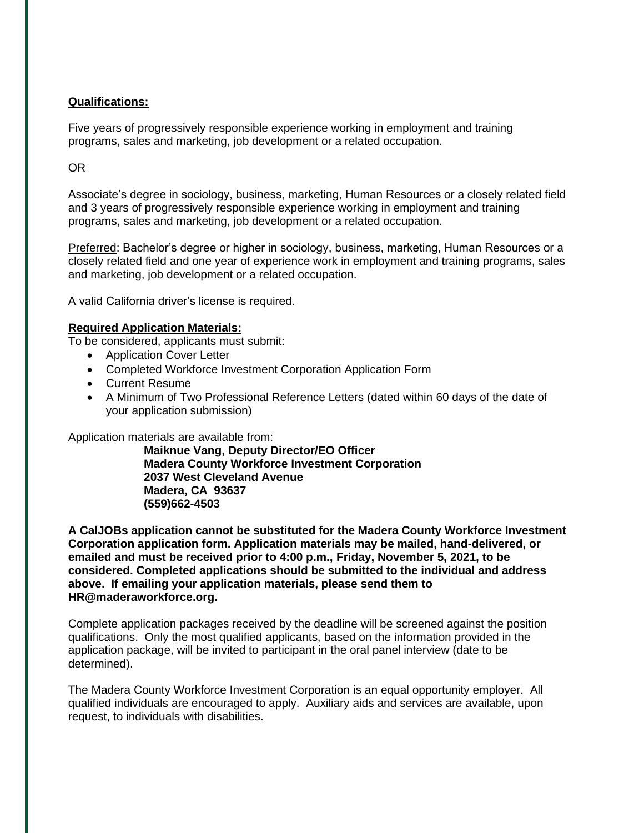#### **Qualifications:**

Five years of progressively responsible experience working in employment and training programs, sales and marketing, job development or a related occupation.

OR

Associate's degree in sociology, business, marketing, Human Resources or a closely related field and 3 years of progressively responsible experience working in employment and training programs, sales and marketing, job development or a related occupation.

Preferred: Bachelor's degree or higher in sociology, business, marketing, Human Resources or a closely related field and one year of experience work in employment and training programs, sales and marketing, job development or a related occupation.

A valid California driver's license is required.

#### **Required Application Materials:**

To be considered, applicants must submit:

- Application Cover Letter
- Completed Workforce Investment Corporation Application Form
- Current Resume
- A Minimum of Two Professional Reference Letters (dated within 60 days of the date of your application submission)

Application materials are available from:

**Maiknue Vang, Deputy Director/EO Officer Madera County Workforce Investment Corporation 2037 West Cleveland Avenue Madera, CA 93637 (559)662-4503**

**A CalJOBs application cannot be substituted for the Madera County Workforce Investment Corporation application form. Application materials may be mailed, hand-delivered, or emailed and must be received prior to 4:00 p.m., Friday, November 5, 2021, to be considered. Completed applications should be submitted to the individual and address above. If emailing your application materials, please send them to HR@maderaworkforce.org.**

Complete application packages received by the deadline will be screened against the position qualifications. Only the most qualified applicants, based on the information provided in the application package, will be invited to participant in the oral panel interview (date to be determined).

The Madera County Workforce Investment Corporation is an equal opportunity employer. All qualified individuals are encouraged to apply. Auxiliary aids and services are available, upon request, to individuals with disabilities.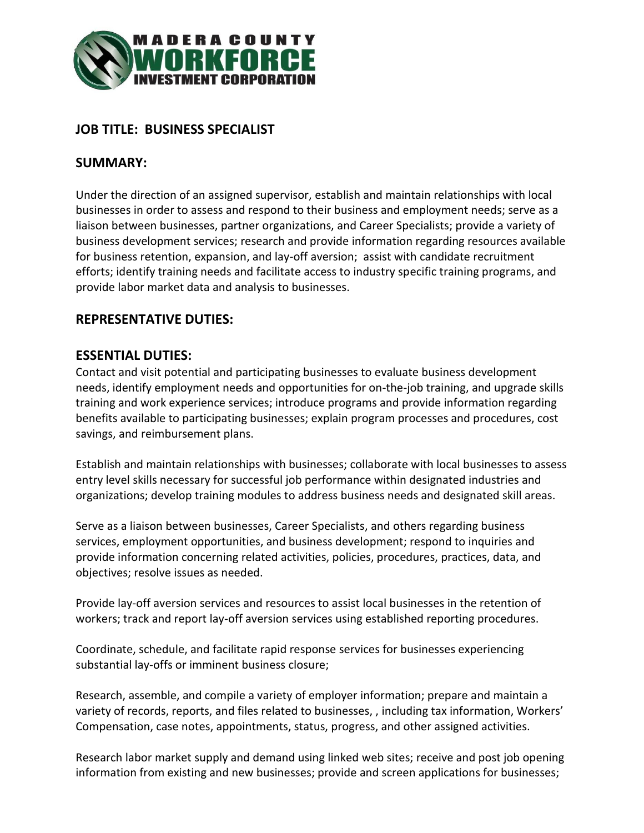

## **JOB TITLE: BUSINESS SPECIALIST**

## **SUMMARY:**

Under the direction of an assigned supervisor, establish and maintain relationships with local businesses in order to assess and respond to their business and employment needs; serve as a liaison between businesses, partner organizations, and Career Specialists; provide a variety of business development services; research and provide information regarding resources available for business retention, expansion, and lay-off aversion; assist with candidate recruitment efforts; identify training needs and facilitate access to industry specific training programs, and provide labor market data and analysis to businesses.

## **REPRESENTATIVE DUTIES:**

### **ESSENTIAL DUTIES:**

Contact and visit potential and participating businesses to evaluate business development needs, identify employment needs and opportunities for on-the-job training, and upgrade skills training and work experience services; introduce programs and provide information regarding benefits available to participating businesses; explain program processes and procedures, cost savings, and reimbursement plans.

Establish and maintain relationships with businesses; collaborate with local businesses to assess entry level skills necessary for successful job performance within designated industries and organizations; develop training modules to address business needs and designated skill areas.

Serve as a liaison between businesses, Career Specialists, and others regarding business services, employment opportunities, and business development; respond to inquiries and provide information concerning related activities, policies, procedures, practices, data, and objectives; resolve issues as needed.

Provide lay-off aversion services and resources to assist local businesses in the retention of workers; track and report lay-off aversion services using established reporting procedures.

Coordinate, schedule, and facilitate rapid response services for businesses experiencing substantial lay-offs or imminent business closure;

Research, assemble, and compile a variety of employer information; prepare and maintain a variety of records, reports, and files related to businesses, , including tax information, Workers' Compensation, case notes, appointments, status, progress, and other assigned activities.

Research labor market supply and demand using linked web sites; receive and post job opening information from existing and new businesses; provide and screen applications for businesses;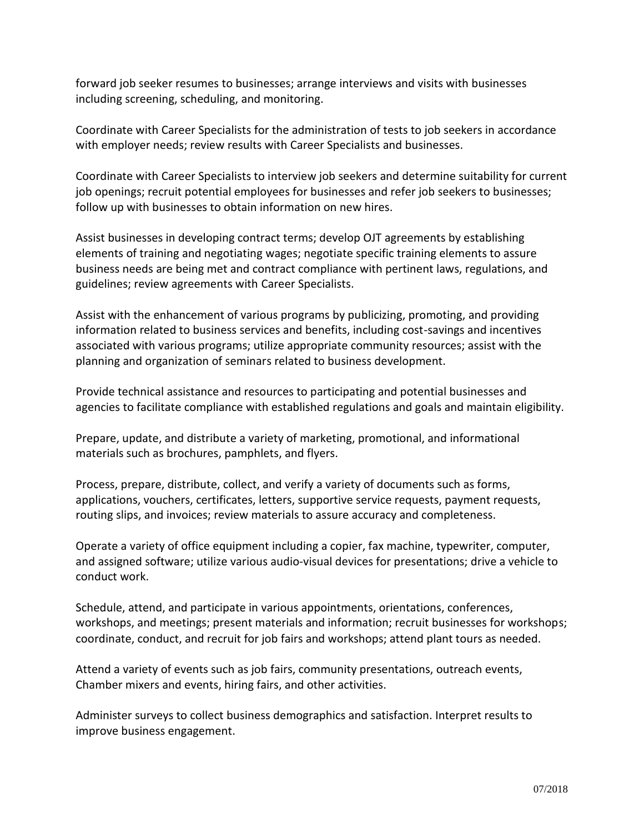forward job seeker resumes to businesses; arrange interviews and visits with businesses including screening, scheduling, and monitoring.

Coordinate with Career Specialists for the administration of tests to job seekers in accordance with employer needs; review results with Career Specialists and businesses.

Coordinate with Career Specialists to interview job seekers and determine suitability for current job openings; recruit potential employees for businesses and refer job seekers to businesses; follow up with businesses to obtain information on new hires.

Assist businesses in developing contract terms; develop OJT agreements by establishing elements of training and negotiating wages; negotiate specific training elements to assure business needs are being met and contract compliance with pertinent laws, regulations, and guidelines; review agreements with Career Specialists.

Assist with the enhancement of various programs by publicizing, promoting, and providing information related to business services and benefits, including cost-savings and incentives associated with various programs; utilize appropriate community resources; assist with the planning and organization of seminars related to business development.

Provide technical assistance and resources to participating and potential businesses and agencies to facilitate compliance with established regulations and goals and maintain eligibility.

Prepare, update, and distribute a variety of marketing, promotional, and informational materials such as brochures, pamphlets, and flyers.

Process, prepare, distribute, collect, and verify a variety of documents such as forms, applications, vouchers, certificates, letters, supportive service requests, payment requests, routing slips, and invoices; review materials to assure accuracy and completeness.

Operate a variety of office equipment including a copier, fax machine, typewriter, computer, and assigned software; utilize various audio-visual devices for presentations; drive a vehicle to conduct work.

Schedule, attend, and participate in various appointments, orientations, conferences, workshops, and meetings; present materials and information; recruit businesses for workshops; coordinate, conduct, and recruit for job fairs and workshops; attend plant tours as needed.

Attend a variety of events such as job fairs, community presentations, outreach events, Chamber mixers and events, hiring fairs, and other activities.

Administer surveys to collect business demographics and satisfaction. Interpret results to improve business engagement.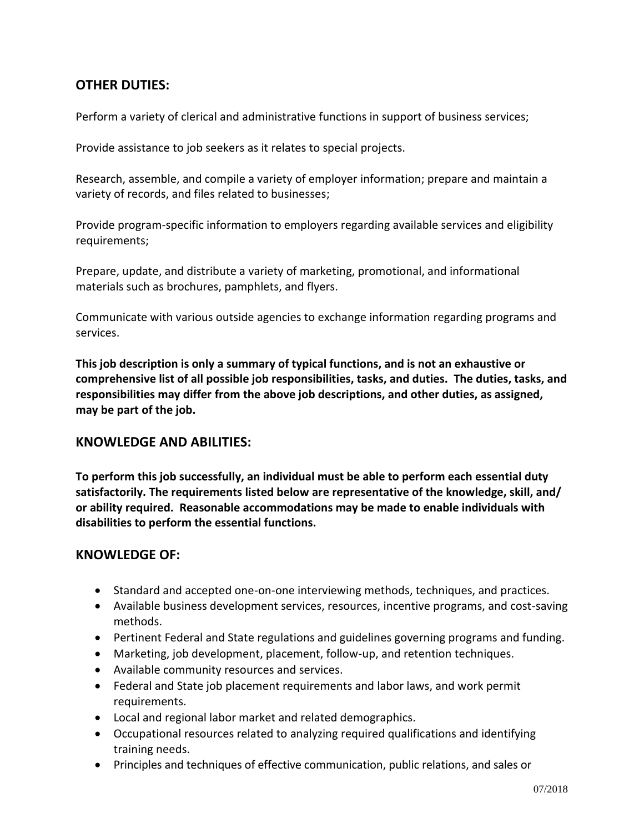## **OTHER DUTIES:**

Perform a variety of clerical and administrative functions in support of business services;

Provide assistance to job seekers as it relates to special projects.

Research, assemble, and compile a variety of employer information; prepare and maintain a variety of records, and files related to businesses;

Provide program-specific information to employers regarding available services and eligibility requirements;

Prepare, update, and distribute a variety of marketing, promotional, and informational materials such as brochures, pamphlets, and flyers.

Communicate with various outside agencies to exchange information regarding programs and services.

**This job description is only a summary of typical functions, and is not an exhaustive or comprehensive list of all possible job responsibilities, tasks, and duties. The duties, tasks, and responsibilities may differ from the above job descriptions, and other duties, as assigned, may be part of the job.**

### **KNOWLEDGE AND ABILITIES:**

**To perform this job successfully, an individual must be able to perform each essential duty satisfactorily. The requirements listed below are representative of the knowledge, skill, and/ or ability required. Reasonable accommodations may be made to enable individuals with disabilities to perform the essential functions.**

### **KNOWLEDGE OF:**

- Standard and accepted one-on-one interviewing methods, techniques, and practices.
- Available business development services, resources, incentive programs, and cost-saving methods.
- Pertinent Federal and State regulations and guidelines governing programs and funding.
- Marketing, job development, placement, follow-up, and retention techniques.
- Available community resources and services.
- Federal and State job placement requirements and labor laws, and work permit requirements.
- Local and regional labor market and related demographics.
- Occupational resources related to analyzing required qualifications and identifying training needs.
- Principles and techniques of effective communication, public relations, and sales or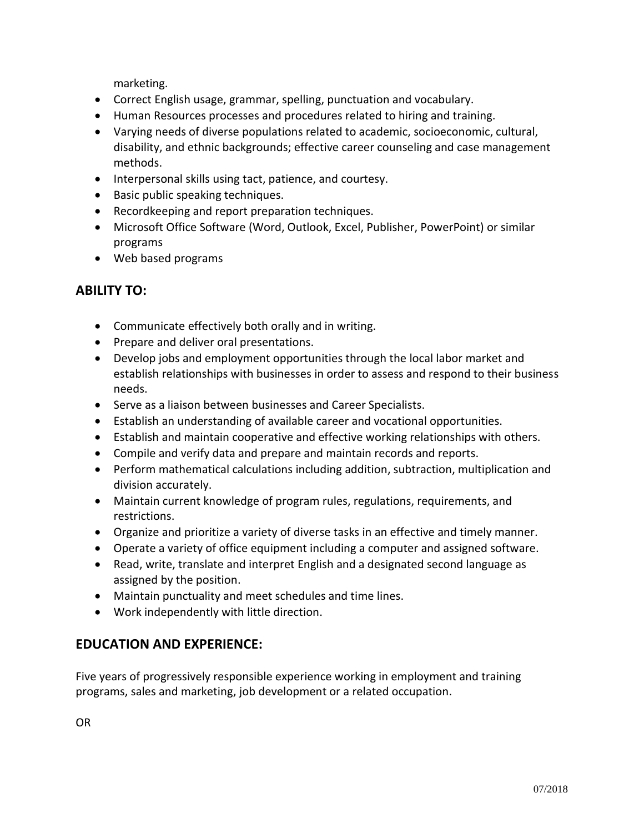marketing.

- Correct English usage, grammar, spelling, punctuation and vocabulary.
- Human Resources processes and procedures related to hiring and training.
- Varying needs of diverse populations related to academic, socioeconomic, cultural, disability, and ethnic backgrounds; effective career counseling and case management methods.
- Interpersonal skills using tact, patience, and courtesy.
- Basic public speaking techniques.
- Recordkeeping and report preparation techniques.
- Microsoft Office Software (Word, Outlook, Excel, Publisher, PowerPoint) or similar programs
- Web based programs

## **ABILITY TO:**

- Communicate effectively both orally and in writing.
- Prepare and deliver oral presentations.
- Develop jobs and employment opportunities through the local labor market and establish relationships with businesses in order to assess and respond to their business needs.
- Serve as a liaison between businesses and Career Specialists.
- Establish an understanding of available career and vocational opportunities.
- Establish and maintain cooperative and effective working relationships with others.
- Compile and verify data and prepare and maintain records and reports.
- Perform mathematical calculations including addition, subtraction, multiplication and division accurately.
- Maintain current knowledge of program rules, regulations, requirements, and restrictions.
- Organize and prioritize a variety of diverse tasks in an effective and timely manner.
- Operate a variety of office equipment including a computer and assigned software.
- Read, write, translate and interpret English and a designated second language as assigned by the position.
- Maintain punctuality and meet schedules and time lines.
- Work independently with little direction.

## **EDUCATION AND EXPERIENCE:**

Five years of progressively responsible experience working in employment and training programs, sales and marketing, job development or a related occupation.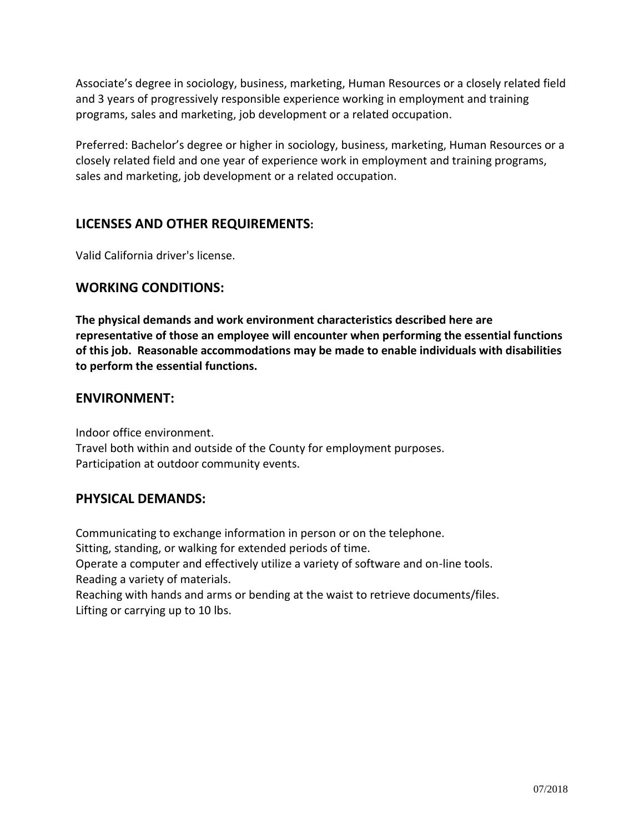Associate's degree in sociology, business, marketing, Human Resources or a closely related field and 3 years of progressively responsible experience working in employment and training programs, sales and marketing, job development or a related occupation.

Preferred: Bachelor's degree or higher in sociology, business, marketing, Human Resources or a closely related field and one year of experience work in employment and training programs, sales and marketing, job development or a related occupation.

## **LICENSES AND OTHER REQUIREMENTS:**

Valid California driver's license.

### **WORKING CONDITIONS:**

**The physical demands and work environment characteristics described here are representative of those an employee will encounter when performing the essential functions of this job. Reasonable accommodations may be made to enable individuals with disabilities to perform the essential functions.**

### **ENVIRONMENT:**

Indoor office environment. Travel both within and outside of the County for employment purposes. Participation at outdoor community events.

## **PHYSICAL DEMANDS:**

Communicating to exchange information in person or on the telephone. Sitting, standing, or walking for extended periods of time. Operate a computer and effectively utilize a variety of software and on-line tools. Reading a variety of materials. Reaching with hands and arms or bending at the waist to retrieve documents/files. Lifting or carrying up to 10 lbs.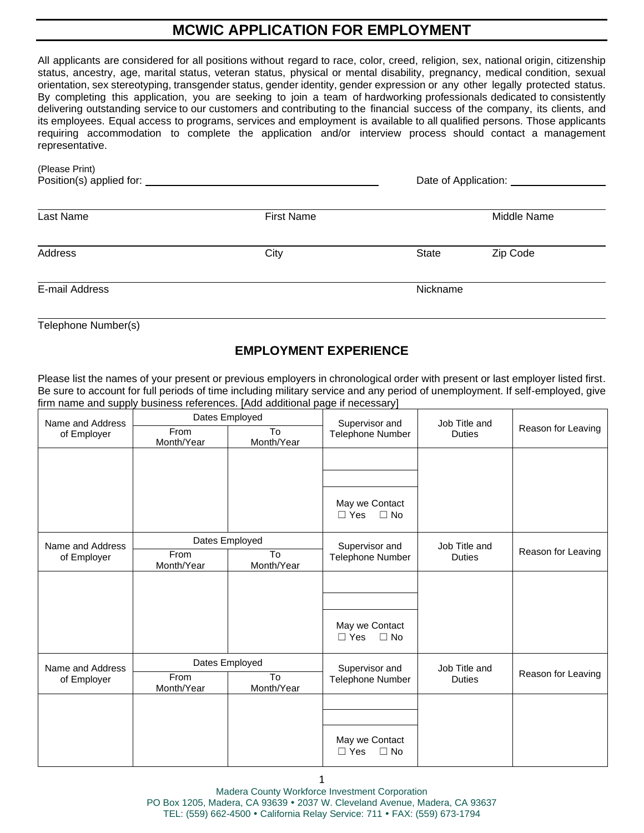# **MCWIC APPLICATION FOR EMPLOYMENT**

All applicants are considered for all positions without regard to race, color, creed, religion, sex, national origin, citizenship status, ancestry, age, marital status, veteran status, physical or mental disability, pregnancy, medical condition, sexual orientation, sex stereotyping, transgender status, gender identity, gender expression or any other legally protected status. By completing this application, you are seeking to join a team of hardworking professionals dedicated to consistently delivering outstanding service to our customers and contributing to the financial success of the company, its clients, and its employees. Equal access to programs, services and employment is available to all qualified persons. Those applicants requiring accommodation to complete the application and/or interview process should contact a management representative.

| (Please Print) |                   | Date of Application: ________ |             |  |
|----------------|-------------------|-------------------------------|-------------|--|
| Last Name      | <b>First Name</b> |                               | Middle Name |  |
| Address        | City              | <b>State</b>                  | Zip Code    |  |
| E-mail Address |                   | Nickname                      |             |  |

Telephone Number(s)

## **EMPLOYMENT EXPERIENCE**

Please list the names of your present or previous employers in chronological order with present or last employer listed first. Be sure to account for full periods of time including military service and any period of unemployment. If self-employed, give firm name and supply business references. [Add additional page if necessary]

| Name and Address                | Dates Employed     |                  | Supervisor and                            | Job Title and |                    |  |
|---------------------------------|--------------------|------------------|-------------------------------------------|---------------|--------------------|--|
| of Employer                     | From<br>Month/Year | To<br>Month/Year | Telephone Number                          | <b>Duties</b> | Reason for Leaving |  |
|                                 |                    |                  |                                           |               |                    |  |
|                                 |                    |                  |                                           |               |                    |  |
|                                 |                    |                  | May we Contact<br>$\Box$ No<br>$\Box$ Yes |               |                    |  |
| Name and Address<br>of Employer | Dates Employed     |                  | Supervisor and                            | Job Title and |                    |  |
|                                 | From<br>Month/Year | To<br>Month/Year | Telephone Number                          | <b>Duties</b> | Reason for Leaving |  |
|                                 |                    |                  |                                           |               |                    |  |
|                                 |                    |                  |                                           |               |                    |  |
|                                 |                    |                  | May we Contact<br>$\Box$ No<br>$\Box$ Yes |               |                    |  |
| Name and Address                | Dates Employed     |                  | Supervisor and                            | Job Title and |                    |  |
| of Employer                     | From<br>Month/Year | To<br>Month/Year | Telephone Number                          | <b>Duties</b> | Reason for Leaving |  |
|                                 |                    |                  |                                           |               |                    |  |
|                                 |                    |                  |                                           |               |                    |  |
|                                 |                    |                  | May we Contact<br>$\Box$ No<br>$\Box$ Yes |               |                    |  |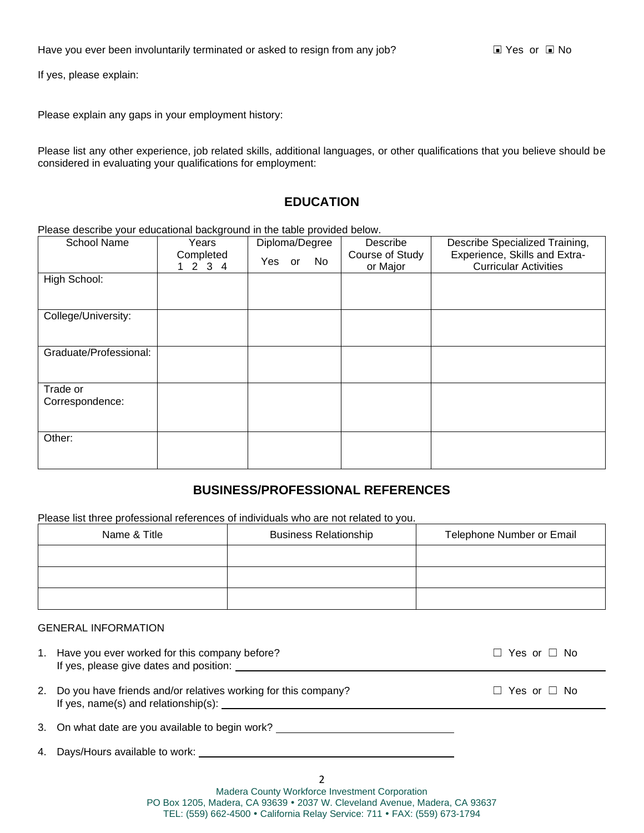If yes, please explain:

Please explain any gaps in your employment history:

Please list any other experience, job related skills, additional languages, or other qualifications that you believe should be considered in evaluating your qualifications for employment:

### **EDUCATION**

Please describe your educational background in the table provided below.

| <b>School Name</b>          | Years                | Diploma/Degree | Describe                    | Describe Specialized Training,                                |  |
|-----------------------------|----------------------|----------------|-----------------------------|---------------------------------------------------------------|--|
|                             | Completed<br>1 2 3 4 | Yes or<br>No   | Course of Study<br>or Major | Experience, Skills and Extra-<br><b>Curricular Activities</b> |  |
| High School:                |                      |                |                             |                                                               |  |
|                             |                      |                |                             |                                                               |  |
| College/University:         |                      |                |                             |                                                               |  |
|                             |                      |                |                             |                                                               |  |
| Graduate/Professional:      |                      |                |                             |                                                               |  |
|                             |                      |                |                             |                                                               |  |
| Trade or<br>Correspondence: |                      |                |                             |                                                               |  |
|                             |                      |                |                             |                                                               |  |
| Other:                      |                      |                |                             |                                                               |  |
|                             |                      |                |                             |                                                               |  |
|                             |                      |                |                             |                                                               |  |

## **BUSINESS/PROFESSIONAL REFERENCES**

Please list three professional references of individuals who are not related to you.

| Name & Title | <b>Business Relationship</b> | Telephone Number or Email |  |  |
|--------------|------------------------------|---------------------------|--|--|
|              |                              |                           |  |  |
|              |                              |                           |  |  |
|              |                              |                           |  |  |

#### GENERAL INFORMATION

|    | 1. Have you ever worked for this company before?<br>If yes, please give dates and position:                                                                                                                                                                                                                                                                     | Yes or $\Box$ No |
|----|-----------------------------------------------------------------------------------------------------------------------------------------------------------------------------------------------------------------------------------------------------------------------------------------------------------------------------------------------------------------|------------------|
| 2. | Do you have friends and/or relatives working for this company?<br>If yes, name(s) and relationship(s): $\frac{1}{2}$ = $\frac{1}{2}$ = $\frac{1}{2}$ = $\frac{1}{2}$ = $\frac{1}{2}$ = $\frac{1}{2}$ = $\frac{1}{2}$ = $\frac{1}{2}$ = $\frac{1}{2}$ = $\frac{1}{2}$ = $\frac{1}{2}$ = $\frac{1}{2}$ = $\frac{1}{2}$ = $\frac{1}{2}$ = $\frac{1}{2}$ = $\frac{$ | Yes or $\Box$ No |
|    | 3. On what date are you available to begin work? ________________________________                                                                                                                                                                                                                                                                               |                  |
|    | 4. Days/Hours available to work: The contract of the contract of the contract of the contract of the contract of the contract of the contract of the contract of the contract of the contract of the contract of the contract                                                                                                                                   |                  |
|    |                                                                                                                                                                                                                                                                                                                                                                 |                  |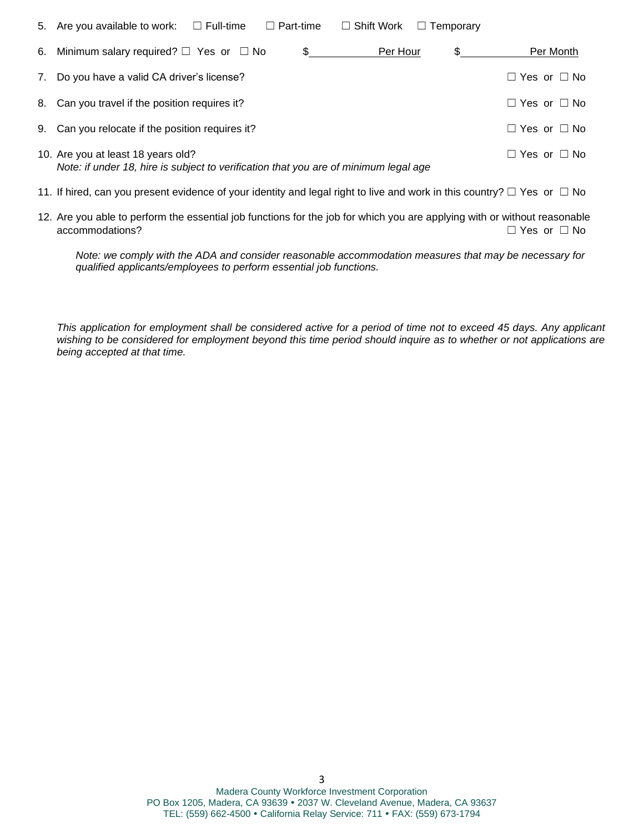| 5. Are you available to work: $\square$ Full-time<br>$\Box$ Part-time                                                      |                         | $\Box$ Shift Work $\Box$ Temporary |                         |
|----------------------------------------------------------------------------------------------------------------------------|-------------------------|------------------------------------|-------------------------|
| 6. Minimum salary required? $\Box$ Yes or $\Box$ No<br>$\mathcal{S}$                                                       | Per Hour                | S.                                 | Per Month               |
| 7. Do you have a valid CA driver's license?                                                                                |                         |                                    | $\Box$ Yes or $\Box$ No |
| 8. Can you travel if the position requires it?                                                                             |                         |                                    | $\Box$ Yes or $\Box$ No |
| 9. Can you relocate if the position requires it?                                                                           | $\Box$ Yes or $\Box$ No |                                    |                         |
| 10. Are you at least 18 years old?<br>Note: if under 18, hire is subject to verification that you are of minimum legal age |                         |                                    | $\Box$ Yes or $\Box$ No |

- 11. If hired, can you present evidence of your identity and legal right to live and work in this country? □ Yes or □ No
- 12. Are you able to perform the essential job functions for the job for which you are applying with or without reasonable accommodations? □ No

*Note: we comply with the ADA and consider reasonable accommodation measures that may be necessary for qualified applicants/employees to perform essential job functions.*

*This application for employment shall be considered active for a period of time not to exceed 45 days. Any applicant*  wishing to be considered for employment beyond this time period should inquire as to whether or not applications are *being accepted at that time.*